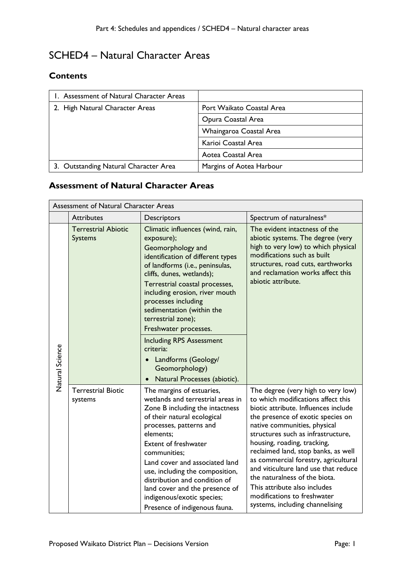# SCHED4 – Natural Character Areas

#### **Contents**

| 1. Assessment of Natural Character Areas |                           |
|------------------------------------------|---------------------------|
| 2. High Natural Character Areas          | Port Waikato Coastal Area |
|                                          | Opura Coastal Area        |
|                                          | Whaingaroa Coastal Area   |
|                                          | Karioi Coastal Area       |
|                                          | Aotea Coastal Area        |
| 3. Outstanding Natural Character Area    | Margins of Aotea Harbour  |

## **Assessment of Natural Character Areas**

| Assessment of Natural Character Areas |                                              |                                                                                                                                                                                                                                                                                                                                                                                                                                                                                       |                                                                                                                                                                                                                                                                                                                                                                                                                                                                                                                      |
|---------------------------------------|----------------------------------------------|---------------------------------------------------------------------------------------------------------------------------------------------------------------------------------------------------------------------------------------------------------------------------------------------------------------------------------------------------------------------------------------------------------------------------------------------------------------------------------------|----------------------------------------------------------------------------------------------------------------------------------------------------------------------------------------------------------------------------------------------------------------------------------------------------------------------------------------------------------------------------------------------------------------------------------------------------------------------------------------------------------------------|
|                                       | <b>Attributes</b>                            | Descriptors                                                                                                                                                                                                                                                                                                                                                                                                                                                                           | Spectrum of naturalness*                                                                                                                                                                                                                                                                                                                                                                                                                                                                                             |
| Natural Science                       | <b>Terrestrial Abiotic</b><br><b>Systems</b> | Climatic influences (wind, rain,<br>exposure);<br>Geomorphology and<br>identification of different types<br>of landforms (i.e., peninsulas,<br>cliffs, dunes, wetlands);<br>Terrestrial coastal processes,<br>including erosion, river mouth<br>processes including<br>sedimentation (within the<br>terrestrial zone);<br>Freshwater processes.<br><b>Including RPS Assessment</b><br>criteria:<br>Landforms (Geology/<br>$\bullet$<br>Geomorphology)<br>Natural Processes (abiotic). | The evident intactness of the<br>abiotic systems. The degree (very<br>high to very low) to which physical<br>modifications such as built<br>structures, road cuts, earthworks<br>and reclamation works affect this<br>abiotic attribute.                                                                                                                                                                                                                                                                             |
|                                       | <b>Terrestrial Biotic</b><br>systems         | The margins of estuaries,<br>wetlands and terrestrial areas in<br>Zone B including the intactness<br>of their natural ecological<br>processes, patterns and<br>elements:<br>Extent of freshwater<br>communities;<br>Land cover and associated land<br>use, including the composition,<br>distribution and condition of<br>land cover and the presence of<br>indigenous/exotic species;<br>Presence of indigenous fauna.                                                               | The degree (very high to very low)<br>to which modifications affect this<br>biotic attribute. Influences include<br>the presence of exotic species on<br>native communities, physical<br>structures such as infrastructure,<br>housing, roading, tracking,<br>reclaimed land, stop banks, as well<br>as commercial forestry, agricultural<br>and viticulture land use that reduce<br>the naturalness of the biota.<br>This attribute also includes<br>modifications to freshwater<br>systems, including channelising |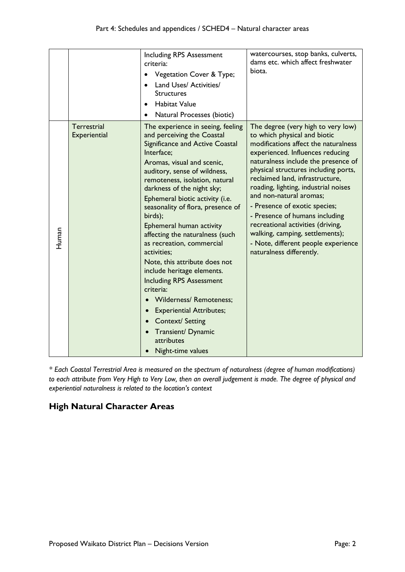|       |                                    | <b>Including RPS Assessment</b><br>criteria:<br>Vegetation Cover & Type;<br>Land Uses/ Activities/<br><b>Structures</b><br><b>Habitat Value</b><br>Natural Processes (biotic)                                                                                                                                                                                                                                                                                                                                                                                                                                                                                                                                                                        | watercourses, stop banks, culverts,<br>dams etc. which affect freshwater<br>biota.                                                                                                                                                                                                                                                                                                                                                                                                                                                                |
|-------|------------------------------------|------------------------------------------------------------------------------------------------------------------------------------------------------------------------------------------------------------------------------------------------------------------------------------------------------------------------------------------------------------------------------------------------------------------------------------------------------------------------------------------------------------------------------------------------------------------------------------------------------------------------------------------------------------------------------------------------------------------------------------------------------|---------------------------------------------------------------------------------------------------------------------------------------------------------------------------------------------------------------------------------------------------------------------------------------------------------------------------------------------------------------------------------------------------------------------------------------------------------------------------------------------------------------------------------------------------|
| Human | <b>Terrestrial</b><br>Experiential | The experience in seeing, feeling<br>and perceiving the Coastal<br>Significance and Active Coastal<br>Interface;<br>Aromas, visual and scenic,<br>auditory, sense of wildness,<br>remoteness, isolation, natural<br>darkness of the night sky;<br>Ephemeral biotic activity (i.e.<br>seasonality of flora, presence of<br>birds);<br>Ephemeral human activity<br>affecting the naturalness (such<br>as recreation, commercial<br>activities;<br>Note, this attribute does not<br>include heritage elements.<br><b>Including RPS Assessment</b><br>criteria:<br><b>Wilderness/ Remoteness;</b><br><b>Experiential Attributes;</b><br>$\bullet$<br>Context/ Setting<br>$\bullet$<br>Transient/ Dynamic<br>attributes<br>Night-time values<br>$\bullet$ | The degree (very high to very low)<br>to which physical and biotic<br>modifications affect the naturalness<br>experienced. Influences reducing<br>naturalness include the presence of<br>physical structures including ports,<br>reclaimed land, infrastructure,<br>roading, lighting, industrial noises<br>and non-natural aromas;<br>- Presence of exotic species;<br>- Presence of humans including<br>recreational activities (driving,<br>walking, camping, settlements);<br>- Note, different people experience<br>naturalness differently. |

*\* Each Coastal Terrestrial Area is measured on the spectrum of naturalness (degree of human modifications) to each attribute from Very High to Very Low, then an overall judgement is made. The degree of physical and experiential naturalness is related to the location's context*

## **High Natural Character Areas**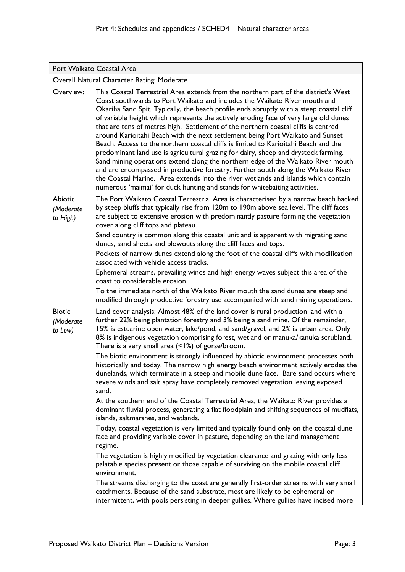| Port Waikato Coastal Area                  |                                                                                                                                                                                                                                                                                                                                                                                                                                                                                                                                                                                                                                                                                                                                                                                                                                                                                                                                                                                                                                                                                                                                                                                                                                                                                                                                                                                                                                                                                                                                                                                                                                                               |  |
|--------------------------------------------|---------------------------------------------------------------------------------------------------------------------------------------------------------------------------------------------------------------------------------------------------------------------------------------------------------------------------------------------------------------------------------------------------------------------------------------------------------------------------------------------------------------------------------------------------------------------------------------------------------------------------------------------------------------------------------------------------------------------------------------------------------------------------------------------------------------------------------------------------------------------------------------------------------------------------------------------------------------------------------------------------------------------------------------------------------------------------------------------------------------------------------------------------------------------------------------------------------------------------------------------------------------------------------------------------------------------------------------------------------------------------------------------------------------------------------------------------------------------------------------------------------------------------------------------------------------------------------------------------------------------------------------------------------------|--|
| Overall Natural Character Rating: Moderate |                                                                                                                                                                                                                                                                                                                                                                                                                                                                                                                                                                                                                                                                                                                                                                                                                                                                                                                                                                                                                                                                                                                                                                                                                                                                                                                                                                                                                                                                                                                                                                                                                                                               |  |
| Overview:                                  | This Coastal Terrestrial Area extends from the northern part of the district's West<br>Coast southwards to Port Waikato and includes the Waikato River mouth and<br>Okariha Sand Spit. Typically, the beach profile ends abruptly with a steep coastal cliff<br>of variable height which represents the actively eroding face of very large old dunes<br>that are tens of metres high. Settlement of the northern coastal cliffs is centred<br>around Karioitahi Beach with the next settlement being Port Waikato and Sunset<br>Beach. Access to the northern coastal cliffs is limited to Karioitahi Beach and the<br>predominant land use is agricultural grazing for dairy, sheep and drystock farming.<br>Sand mining operations extend along the northern edge of the Waikato River mouth<br>and are encompassed in productive forestry. Further south along the Waikato River<br>the Coastal Marine. Area extends into the river wetlands and islands which contain<br>numerous 'maimai' for duck hunting and stands for whitebaiting activities.                                                                                                                                                                                                                                                                                                                                                                                                                                                                                                                                                                                                      |  |
| <b>Abiotic</b><br>(Moderate<br>to High)    | The Port Waikato Coastal Terrestrial Area is characterised by a narrow beach backed<br>by steep bluffs that typically rise from 120m to 190m above sea level. The cliff faces<br>are subject to extensive erosion with predominantly pasture forming the vegetation<br>cover along cliff tops and plateau.<br>Sand country is common along this coastal unit and is apparent with migrating sand<br>dunes, sand sheets and blowouts along the cliff faces and tops.<br>Pockets of narrow dunes extend along the foot of the coastal cliffs with modification<br>associated with vehicle access tracks.<br>Ephemeral streams, prevailing winds and high energy waves subject this area of the<br>coast to considerable erosion.<br>To the immediate north of the Waikato River mouth the sand dunes are steep and<br>modified through productive forestry use accompanied with sand mining operations.                                                                                                                                                                                                                                                                                                                                                                                                                                                                                                                                                                                                                                                                                                                                                         |  |
| <b>Biotic</b><br>(Moderate<br>to Low)      | Land cover analysis: Almost 48% of the land cover is rural production land with a<br>further 22% being plantation forestry and 3% being a sand mine. Of the remainder,<br>15% is estuarine open water, lake/pond, and sand/gravel, and 2% is urban area. Only<br>8% is indigenous vegetation comprising forest, wetland or manuka/kanuka scrubland.<br>There is a very small area $(1%)$ of gorse/broom.<br>The biotic environment is strongly influenced by abiotic environment processes both<br>historically and today. The narrow high energy beach environment actively erodes the<br>dunelands, which terminate in a steep and mobile dune face. Bare sand occurs where<br>severe winds and salt spray have completely removed vegetation leaving exposed<br>sand.<br>At the southern end of the Coastal Terrestrial Area, the Waikato River provides a<br>dominant fluvial process, generating a flat floodplain and shifting sequences of mudflats,<br>islands, saltmarshes, and wetlands.<br>Today, coastal vegetation is very limited and typically found only on the coastal dune<br>face and providing variable cover in pasture, depending on the land management<br>regime.<br>The vegetation is highly modified by vegetation clearance and grazing with only less<br>palatable species present or those capable of surviving on the mobile coastal cliff<br>environment.<br>The streams discharging to the coast are generally first-order streams with very small<br>catchments. Because of the sand substrate, most are likely to be ephemeral or<br>intermittent, with pools persisting in deeper gullies. Where gullies have incised more |  |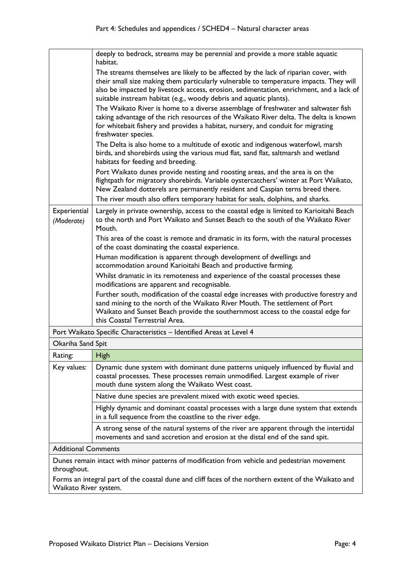|                                                                                                             | deeply to bedrock, streams may be perennial and provide a more stable aquatic<br>habitat.                                                                                                                                                                                                                                                       |
|-------------------------------------------------------------------------------------------------------------|-------------------------------------------------------------------------------------------------------------------------------------------------------------------------------------------------------------------------------------------------------------------------------------------------------------------------------------------------|
|                                                                                                             | The streams themselves are likely to be affected by the lack of riparian cover, with<br>their small size making them particularly vulnerable to temperature impacts. They will<br>also be impacted by livestock access, erosion, sedimentation, enrichment, and a lack of<br>suitable instream habitat (e.g., woody debris and aquatic plants). |
|                                                                                                             | The Waikato River is home to a diverse assemblage of freshwater and saltwater fish<br>taking advantage of the rich resources of the Waikato River delta. The delta is known<br>for whitebait fishery and provides a habitat, nursery, and conduit for migrating<br>freshwater species.                                                          |
|                                                                                                             | The Delta is also home to a multitude of exotic and indigenous waterfowl, marsh<br>birds, and shorebirds using the various mud flat, sand flat, saltmarsh and wetland<br>habitats for feeding and breeding.                                                                                                                                     |
|                                                                                                             | Port Waikato dunes provide nesting and roosting areas, and the area is on the<br>flightpath for migratory shorebirds. Variable oystercatchers' winter at Port Waikato,<br>New Zealand dotterels are permanently resident and Caspian terns breed there.                                                                                         |
|                                                                                                             | The river mouth also offers temporary habitat for seals, dolphins, and sharks.                                                                                                                                                                                                                                                                  |
| Experiential<br>(Moderate)                                                                                  | Largely in private ownership, access to the coastal edge is limited to Karioitahi Beach<br>to the north and Port Waikato and Sunset Beach to the south of the Waikato River<br>Mouth.                                                                                                                                                           |
|                                                                                                             | This area of the coast is remote and dramatic in its form, with the natural processes<br>of the coast dominating the coastal experience.                                                                                                                                                                                                        |
|                                                                                                             | Human modification is apparent through development of dwellings and<br>accommodation around Karioitahi Beach and productive farming.                                                                                                                                                                                                            |
|                                                                                                             | Whilst dramatic in its remoteness and experience of the coastal processes these<br>modifications are apparent and recognisable.                                                                                                                                                                                                                 |
|                                                                                                             | Further south, modification of the coastal edge increases with productive forestry and<br>sand mining to the north of the Waikato River Mouth. The settlement of Port<br>Waikato and Sunset Beach provide the southernmost access to the coastal edge for<br>this Coastal Terrestrial Area.                                                     |
| Port Waikato Specific Characteristics - Identified Areas at Level 4                                         |                                                                                                                                                                                                                                                                                                                                                 |
| Okariha Sand Spit                                                                                           |                                                                                                                                                                                                                                                                                                                                                 |
| Rating:                                                                                                     | <b>High</b>                                                                                                                                                                                                                                                                                                                                     |
| Key values:                                                                                                 | Dynamic dune system with dominant dune patterns uniquely influenced by fluvial and<br>coastal processes. These processes remain unmodified. Largest example of river<br>mouth dune system along the Waikato West coast.                                                                                                                         |
|                                                                                                             | Native dune species are prevalent mixed with exotic weed species.                                                                                                                                                                                                                                                                               |
|                                                                                                             | Highly dynamic and dominant coastal processes with a large dune system that extends<br>in a full sequence from the coastline to the river edge.                                                                                                                                                                                                 |
|                                                                                                             | A strong sense of the natural systems of the river are apparent through the intertidal<br>movements and sand accretion and erosion at the distal end of the sand spit.                                                                                                                                                                          |
| <b>Additional Comments</b>                                                                                  |                                                                                                                                                                                                                                                                                                                                                 |
| Dunes remain intact with minor patterns of modification from vehicle and pedestrian movement<br>throughout. |                                                                                                                                                                                                                                                                                                                                                 |
|                                                                                                             |                                                                                                                                                                                                                                                                                                                                                 |

Forms an integral part of the coastal dune and cliff faces of the northern extent of the Waikato and Waikato River system.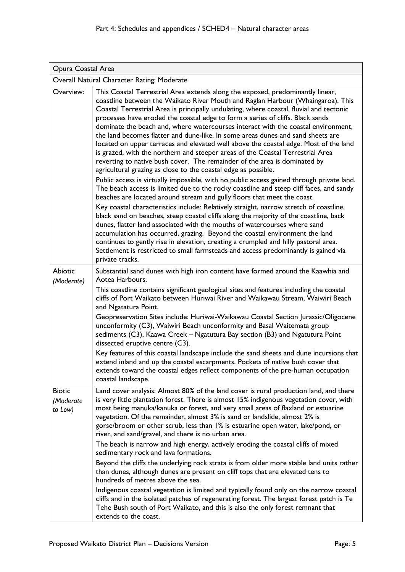| Opura Coastal Area                         |                                                                                                                                                                                                                                                                                                                                                                                                                                                                                                                                                                                                                                                                                                                                                                                                                                                                                                                                                                                                                                                                                                                                                                                                                                                                                                                                                                                                                                                                                                                                                                                                                                                                    |  |
|--------------------------------------------|--------------------------------------------------------------------------------------------------------------------------------------------------------------------------------------------------------------------------------------------------------------------------------------------------------------------------------------------------------------------------------------------------------------------------------------------------------------------------------------------------------------------------------------------------------------------------------------------------------------------------------------------------------------------------------------------------------------------------------------------------------------------------------------------------------------------------------------------------------------------------------------------------------------------------------------------------------------------------------------------------------------------------------------------------------------------------------------------------------------------------------------------------------------------------------------------------------------------------------------------------------------------------------------------------------------------------------------------------------------------------------------------------------------------------------------------------------------------------------------------------------------------------------------------------------------------------------------------------------------------------------------------------------------------|--|
| Overall Natural Character Rating: Moderate |                                                                                                                                                                                                                                                                                                                                                                                                                                                                                                                                                                                                                                                                                                                                                                                                                                                                                                                                                                                                                                                                                                                                                                                                                                                                                                                                                                                                                                                                                                                                                                                                                                                                    |  |
| Overview:                                  | This Coastal Terrestrial Area extends along the exposed, predominantly linear,<br>coastline between the Waikato River Mouth and Raglan Harbour (Whaingaroa). This<br>Coastal Terrestrial Area is principally undulating, where coastal, fluvial and tectonic<br>processes have eroded the coastal edge to form a series of cliffs. Black sands<br>dominate the beach and, where watercourses interact with the coastal environment,<br>the land becomes flatter and dune-like. In some areas dunes and sand sheets are<br>located on upper terraces and elevated well above the coastal edge. Most of the land<br>is grazed, with the northern and steeper areas of the Coastal Terrestrial Area<br>reverting to native bush cover. The remainder of the area is dominated by<br>agricultural grazing as close to the coastal edge as possible.<br>Public access is virtually impossible, with no public access gained through private land.<br>The beach access is limited due to the rocky coastline and steep cliff faces, and sandy<br>beaches are located around stream and gully floors that meet the coast.<br>Key coastal characteristics include: Relatively straight, narrow stretch of coastline,<br>black sand on beaches, steep coastal cliffs along the majority of the coastline, back<br>dunes, flatter land associated with the mouths of watercourses where sand<br>accumulation has occurred, grazing. Beyond the coastal environment the land<br>continues to gently rise in elevation, creating a crumpled and hilly pastoral area.<br>Settlement is restricted to small farmsteads and access predominantly is gained via<br>private tracks. |  |
| <b>Abiotic</b>                             | Substantial sand dunes with high iron content have formed around the Kaawhia and<br>Aotea Harbours.                                                                                                                                                                                                                                                                                                                                                                                                                                                                                                                                                                                                                                                                                                                                                                                                                                                                                                                                                                                                                                                                                                                                                                                                                                                                                                                                                                                                                                                                                                                                                                |  |
| (Moderate)                                 | This coastline contains significant geological sites and features including the coastal<br>cliffs of Port Waikato between Huriwai River and Waikawau Stream, Waiwiri Beach<br>and Ngatatura Point.                                                                                                                                                                                                                                                                                                                                                                                                                                                                                                                                                                                                                                                                                                                                                                                                                                                                                                                                                                                                                                                                                                                                                                                                                                                                                                                                                                                                                                                                 |  |
|                                            | Geopreservation Sites include: Huriwai-Waikawau Coastal Section Jurassic/Oligocene<br>unconformity (C3), Waiwiri Beach unconformity and Basal Waitemata group<br>sediments (C3), Kaawa Creek - Ngatutura Bay section (B3) and Ngatutura Point<br>dissected eruptive centre (C3).                                                                                                                                                                                                                                                                                                                                                                                                                                                                                                                                                                                                                                                                                                                                                                                                                                                                                                                                                                                                                                                                                                                                                                                                                                                                                                                                                                                   |  |
|                                            | Key features of this coastal landscape include the sand sheets and dune incursions that<br>extend inland and up the coastal escarpments. Pockets of native bush cover that<br>extends toward the coastal edges reflect components of the pre-human occupation<br>coastal landscape.                                                                                                                                                                                                                                                                                                                                                                                                                                                                                                                                                                                                                                                                                                                                                                                                                                                                                                                                                                                                                                                                                                                                                                                                                                                                                                                                                                                |  |
| <b>Biotic</b><br>(Moderate<br>to Low)      | Land cover analysis: Almost 80% of the land cover is rural production land, and there<br>is very little plantation forest. There is almost 15% indigenous vegetation cover, with<br>most being manuka/kanuka or forest, and very small areas of flaxland or estuarine<br>vegetation. Of the remainder, almost 3% is sand or landslide, almost 2% is<br>gorse/broom or other scrub, less than 1% is estuarine open water, lake/pond, or<br>river, and sand/gravel, and there is no urban area.                                                                                                                                                                                                                                                                                                                                                                                                                                                                                                                                                                                                                                                                                                                                                                                                                                                                                                                                                                                                                                                                                                                                                                      |  |
|                                            | The beach is narrow and high energy, actively eroding the coastal cliffs of mixed<br>sedimentary rock and lava formations.                                                                                                                                                                                                                                                                                                                                                                                                                                                                                                                                                                                                                                                                                                                                                                                                                                                                                                                                                                                                                                                                                                                                                                                                                                                                                                                                                                                                                                                                                                                                         |  |
|                                            | Beyond the cliffs the underlying rock strata is from older more stable land units rather<br>than dunes, although dunes are present on cliff tops that are elevated tens to<br>hundreds of metres above the sea.                                                                                                                                                                                                                                                                                                                                                                                                                                                                                                                                                                                                                                                                                                                                                                                                                                                                                                                                                                                                                                                                                                                                                                                                                                                                                                                                                                                                                                                    |  |
|                                            | Indigenous coastal vegetation is limited and typically found only on the narrow coastal<br>cliffs and in the isolated patches of regenerating forest. The largest forest patch is Te<br>Tehe Bush south of Port Waikato, and this is also the only forest remnant that<br>extends to the coast.                                                                                                                                                                                                                                                                                                                                                                                                                                                                                                                                                                                                                                                                                                                                                                                                                                                                                                                                                                                                                                                                                                                                                                                                                                                                                                                                                                    |  |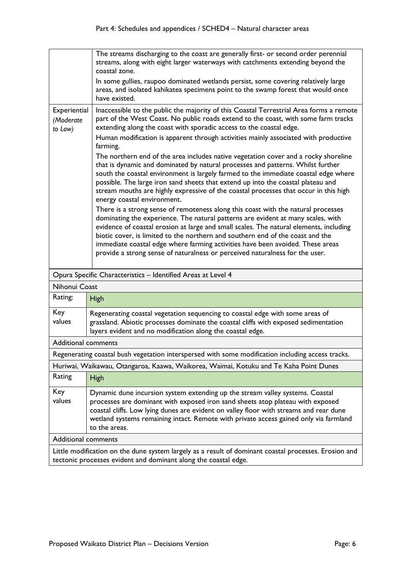|                                      | The streams discharging to the coast are generally first- or second order perennial<br>streams, along with eight larger waterways with catchments extending beyond the<br>coastal zone.<br>In some gullies, raupoo dominated wetlands persist, some covering relatively large<br>areas, and isolated kahikatea specimens point to the swamp forest that would once<br>have existed.                                                                                                                                                                                                                                                                                                                                                                                                                                                                                                                                                                                                                                                                                                                                                                                                                                                                                                                                                                        |
|--------------------------------------|------------------------------------------------------------------------------------------------------------------------------------------------------------------------------------------------------------------------------------------------------------------------------------------------------------------------------------------------------------------------------------------------------------------------------------------------------------------------------------------------------------------------------------------------------------------------------------------------------------------------------------------------------------------------------------------------------------------------------------------------------------------------------------------------------------------------------------------------------------------------------------------------------------------------------------------------------------------------------------------------------------------------------------------------------------------------------------------------------------------------------------------------------------------------------------------------------------------------------------------------------------------------------------------------------------------------------------------------------------|
| Experiential<br>(Moderate<br>to Low) | Inaccessible to the public the majority of this Coastal Terrestrial Area forms a remote<br>part of the West Coast. No public roads extend to the coast, with some farm tracks<br>extending along the coast with sporadic access to the coastal edge.<br>Human modification is apparent through activities mainly associated with productive<br>farming.<br>The northern end of the area includes native vegetation cover and a rocky shoreline<br>that is dynamic and dominated by natural processes and patterns. Whilst further<br>south the coastal environment is largely farmed to the immediate coastal edge where<br>possible. The large iron sand sheets that extend up into the coastal plateau and<br>stream mouths are highly expressive of the coastal processes that occur in this high<br>energy coastal environment.<br>There is a strong sense of remoteness along this coast with the natural processes<br>dominating the experience. The natural patterns are evident at many scales, with<br>evidence of coastal erosion at large and small scales. The natural elements, including<br>biotic cover, is limited to the northern and southern end of the coast and the<br>immediate coastal edge where farming activities have been avoided. These areas<br>provide a strong sense of naturalness or perceived naturalness for the user. |
|                                      | Opura Specific Characteristics - Identified Areas at Level 4                                                                                                                                                                                                                                                                                                                                                                                                                                                                                                                                                                                                                                                                                                                                                                                                                                                                                                                                                                                                                                                                                                                                                                                                                                                                                               |
| Nihonui Coast                        |                                                                                                                                                                                                                                                                                                                                                                                                                                                                                                                                                                                                                                                                                                                                                                                                                                                                                                                                                                                                                                                                                                                                                                                                                                                                                                                                                            |
| Rating:                              | <b>High</b>                                                                                                                                                                                                                                                                                                                                                                                                                                                                                                                                                                                                                                                                                                                                                                                                                                                                                                                                                                                                                                                                                                                                                                                                                                                                                                                                                |
| Key<br>values                        | Regenerating coastal vegetation sequencing to coastal edge with some areas of<br>grassland. Abiotic processes dominate the coastal cliffs with exposed sedimentation<br>layers evident and no modification along the coastal edge.                                                                                                                                                                                                                                                                                                                                                                                                                                                                                                                                                                                                                                                                                                                                                                                                                                                                                                                                                                                                                                                                                                                         |
| <b>Additional comments</b>           |                                                                                                                                                                                                                                                                                                                                                                                                                                                                                                                                                                                                                                                                                                                                                                                                                                                                                                                                                                                                                                                                                                                                                                                                                                                                                                                                                            |
|                                      | Regenerating coastal bush vegetation interspersed with some modification including access tracks.                                                                                                                                                                                                                                                                                                                                                                                                                                                                                                                                                                                                                                                                                                                                                                                                                                                                                                                                                                                                                                                                                                                                                                                                                                                          |
|                                      | Huriwai, Waikawau, Otangaroa, Kaawa, Waikorea, Waimai, Kotuku and Te Kaha Point Dunes                                                                                                                                                                                                                                                                                                                                                                                                                                                                                                                                                                                                                                                                                                                                                                                                                                                                                                                                                                                                                                                                                                                                                                                                                                                                      |
| Rating                               | <b>High</b>                                                                                                                                                                                                                                                                                                                                                                                                                                                                                                                                                                                                                                                                                                                                                                                                                                                                                                                                                                                                                                                                                                                                                                                                                                                                                                                                                |
| Key<br>values                        | Dynamic dune incursion system extending up the stream valley systems. Coastal<br>processes are dominant with exposed iron sand sheets atop plateau with exposed<br>coastal cliffs. Low lying dunes are evident on valley floor with streams and rear dune<br>wetland systems remaining intact. Remote with private access gained only via farmland<br>to the areas.                                                                                                                                                                                                                                                                                                                                                                                                                                                                                                                                                                                                                                                                                                                                                                                                                                                                                                                                                                                        |
| <b>Additional comments</b>           |                                                                                                                                                                                                                                                                                                                                                                                                                                                                                                                                                                                                                                                                                                                                                                                                                                                                                                                                                                                                                                                                                                                                                                                                                                                                                                                                                            |
|                                      | Little modification on the dune system largely as a result of dominant coastal processes. Erosion and<br>tectonic processes evident and dominant along the coastal edge.                                                                                                                                                                                                                                                                                                                                                                                                                                                                                                                                                                                                                                                                                                                                                                                                                                                                                                                                                                                                                                                                                                                                                                                   |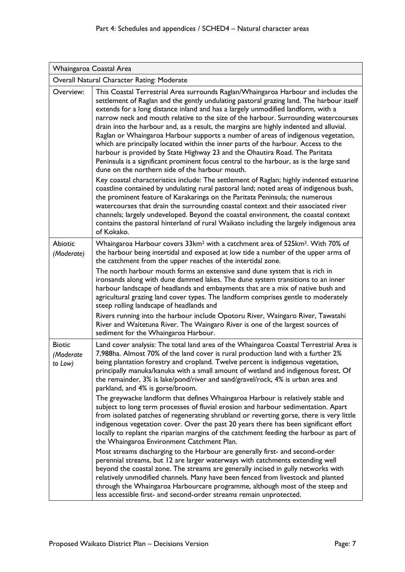| Whaingaroa Coastal Area                    |                                                                                                                                                                                                                                                                                                                                                                                                                                                                                                                                                                                                                                                                                                                                                                                                                                                                                                                                                                                                                                                                                                                                                                                                                                                                                                                                                                                                                        |  |
|--------------------------------------------|------------------------------------------------------------------------------------------------------------------------------------------------------------------------------------------------------------------------------------------------------------------------------------------------------------------------------------------------------------------------------------------------------------------------------------------------------------------------------------------------------------------------------------------------------------------------------------------------------------------------------------------------------------------------------------------------------------------------------------------------------------------------------------------------------------------------------------------------------------------------------------------------------------------------------------------------------------------------------------------------------------------------------------------------------------------------------------------------------------------------------------------------------------------------------------------------------------------------------------------------------------------------------------------------------------------------------------------------------------------------------------------------------------------------|--|
| Overall Natural Character Rating: Moderate |                                                                                                                                                                                                                                                                                                                                                                                                                                                                                                                                                                                                                                                                                                                                                                                                                                                                                                                                                                                                                                                                                                                                                                                                                                                                                                                                                                                                                        |  |
| Overview:                                  | This Coastal Terrestrial Area surrounds Raglan/Whaingaroa Harbour and includes the<br>settlement of Raglan and the gently undulating pastoral grazing land. The harbour itself<br>extends for a long distance inland and has a largely unmodified landform, with a<br>narrow neck and mouth relative to the size of the harbour. Surrounding watercourses<br>drain into the harbour and, as a result, the margins are highly indented and alluvial.<br>Raglan or Whaingaroa Harbour supports a number of areas of indigenous vegetation,<br>which are principally located within the inner parts of the harbour. Access to the<br>harbour is provided by State Highway 23 and the Ohautira Road. The Paritata<br>Peninsula is a significant prominent focus central to the harbour, as is the large sand<br>dune on the northern side of the harbour mouth.<br>Key coastal characteristics include: The settlement of Raglan; highly indented estuarine<br>coastline contained by undulating rural pastoral land; noted areas of indigenous bush,<br>the prominent feature of Karakaringa on the Paritata Peninsula; the numerous<br>watercourses that drain the surrounding coastal context and their associated river<br>channels; largely undeveloped. Beyond the coastal environment, the coastal context<br>contains the pastoral hinterland of rural Waikato including the largely indigenous area<br>of Kokako. |  |
| <b>Abiotic</b>                             | Whaingaroa Harbour covers 33km <sup>2</sup> with a catchment area of 525km <sup>2</sup> . With 70% of                                                                                                                                                                                                                                                                                                                                                                                                                                                                                                                                                                                                                                                                                                                                                                                                                                                                                                                                                                                                                                                                                                                                                                                                                                                                                                                  |  |
| (Moderate)                                 | the harbour being intertidal and exposed at low tide a number of the upper arms of<br>the catchment from the upper reaches of the intertidal zone.                                                                                                                                                                                                                                                                                                                                                                                                                                                                                                                                                                                                                                                                                                                                                                                                                                                                                                                                                                                                                                                                                                                                                                                                                                                                     |  |
|                                            | The north harbour mouth forms an extensive sand dune system that is rich in<br>ironsands along with dune dammed lakes. The dune system transitions to an inner<br>harbour landscape of headlands and embayments that are a mix of native bush and<br>agricultural grazing land cover types. The landform comprises gentle to moderately<br>steep rolling landscape of headlands and<br>Rivers running into the harbour include Opotoru River, Waingaro River, Tawatahi                                                                                                                                                                                                                                                                                                                                                                                                                                                                                                                                                                                                                                                                                                                                                                                                                                                                                                                                                 |  |
|                                            | River and Waitetuna River. The Waingaro River is one of the largest sources of<br>sediment for the Whaingaroa Harbour.                                                                                                                                                                                                                                                                                                                                                                                                                                                                                                                                                                                                                                                                                                                                                                                                                                                                                                                                                                                                                                                                                                                                                                                                                                                                                                 |  |
| <b>Biotic</b><br>(Moderate<br>to Low)      | Land cover analysis: The total land area of the Whaingaroa Coastal Terrestrial Area is<br>7,988ha. Almost 70% of the land cover is rural production land with a further 2%<br>being plantation forestry and cropland. Twelve percent is indigenous vegetation,<br>principally manuka/kanuka with a small amount of wetland and indigenous forest. Of<br>the remainder, 3% is lake/pond/river and sand/gravel/rock, 4% is urban area and<br>parkland, and 4% is gorse/broom.<br>The greywacke landform that defines Whaingaroa Harbour is relatively stable and<br>subject to long term processes of fluvial erosion and harbour sedimentation. Apart<br>from isolated patches of regenerating shrubland or reverting gorse, there is very little                                                                                                                                                                                                                                                                                                                                                                                                                                                                                                                                                                                                                                                                       |  |
|                                            | indigenous vegetation cover. Over the past 20 years there has been significant effort<br>locally to replant the riparian margins of the catchment feeding the harbour as part of<br>the Whaingaroa Environment Catchment Plan.                                                                                                                                                                                                                                                                                                                                                                                                                                                                                                                                                                                                                                                                                                                                                                                                                                                                                                                                                                                                                                                                                                                                                                                         |  |
|                                            | Most streams discharging to the Harbour are generally first- and second-order<br>perennial streams, but 12 are larger waterways with catchments extending well<br>beyond the coastal zone. The streams are generally incised in gully networks with<br>relatively unmodified channels. Many have been fenced from livestock and planted<br>through the Whaingaroa Harbourcare programme, although most of the steep and<br>less accessible first- and second-order streams remain unprotected.                                                                                                                                                                                                                                                                                                                                                                                                                                                                                                                                                                                                                                                                                                                                                                                                                                                                                                                         |  |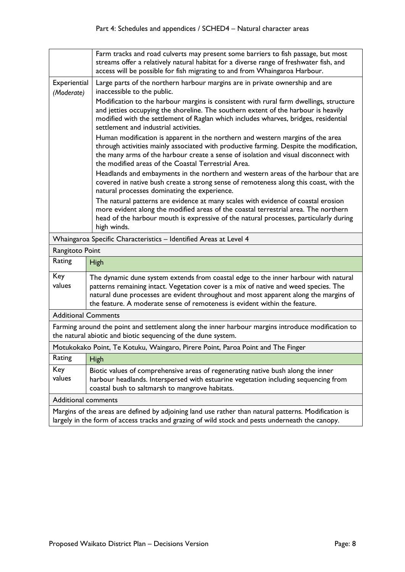|                                                                                                                                                                    | Farm tracks and road culverts may present some barriers to fish passage, but most<br>streams offer a relatively natural habitat for a diverse range of freshwater fish, and<br>access will be possible for fish migrating to and from Whaingaroa Harbour.                                                                                         |
|--------------------------------------------------------------------------------------------------------------------------------------------------------------------|---------------------------------------------------------------------------------------------------------------------------------------------------------------------------------------------------------------------------------------------------------------------------------------------------------------------------------------------------|
| Experiential<br>(Moderate)                                                                                                                                         | Large parts of the northern harbour margins are in private ownership and are<br>inaccessible to the public.                                                                                                                                                                                                                                       |
|                                                                                                                                                                    | Modification to the harbour margins is consistent with rural farm dwellings, structure<br>and jetties occupying the shoreline. The southern extent of the harbour is heavily<br>modified with the settlement of Raglan which includes wharves, bridges, residential<br>settlement and industrial activities.                                      |
|                                                                                                                                                                    | Human modification is apparent in the northern and western margins of the area<br>through activities mainly associated with productive farming. Despite the modification,<br>the many arms of the harbour create a sense of isolation and visual disconnect with<br>the modified areas of the Coastal Terrestrial Area.                           |
|                                                                                                                                                                    | Headlands and embayments in the northern and western areas of the harbour that are<br>covered in native bush create a strong sense of remoteness along this coast, with the<br>natural processes dominating the experience.                                                                                                                       |
|                                                                                                                                                                    | The natural patterns are evidence at many scales with evidence of coastal erosion<br>more evident along the modified areas of the coastal terrestrial area. The northern<br>head of the harbour mouth is expressive of the natural processes, particularly during<br>high winds.                                                                  |
|                                                                                                                                                                    | Whaingaroa Specific Characteristics - Identified Areas at Level 4                                                                                                                                                                                                                                                                                 |
| Rangitoto Point                                                                                                                                                    |                                                                                                                                                                                                                                                                                                                                                   |
| Rating                                                                                                                                                             | High                                                                                                                                                                                                                                                                                                                                              |
| Key<br>values                                                                                                                                                      | The dynamic dune system extends from coastal edge to the inner harbour with natural<br>patterns remaining intact. Vegetation cover is a mix of native and weed species. The<br>natural dune processes are evident throughout and most apparent along the margins of<br>the feature. A moderate sense of remoteness is evident within the feature. |
| <b>Additional Comments</b>                                                                                                                                         |                                                                                                                                                                                                                                                                                                                                                   |
| Farming around the point and settlement along the inner harbour margins introduce modification to<br>the natural abiotic and biotic sequencing of the dune system. |                                                                                                                                                                                                                                                                                                                                                   |
|                                                                                                                                                                    | Motukokako Point, Te Kotuku, Waingaro, Pirere Point, Paroa Point and The Finger                                                                                                                                                                                                                                                                   |
| Rating                                                                                                                                                             | <b>High</b>                                                                                                                                                                                                                                                                                                                                       |
| Key<br>values                                                                                                                                                      | Biotic values of comprehensive areas of regenerating native bush along the inner<br>harbour headlands. Interspersed with estuarine vegetation including sequencing from<br>coastal bush to saltmarsh to mangrove habitats.                                                                                                                        |
| <b>Additional comments</b>                                                                                                                                         |                                                                                                                                                                                                                                                                                                                                                   |
|                                                                                                                                                                    | Margins of the areas are defined by adjoining land use rather than natural patterns. Modification is<br>largely in the form of access tracks and grazing of wild stock and pests underneath the canopy.                                                                                                                                           |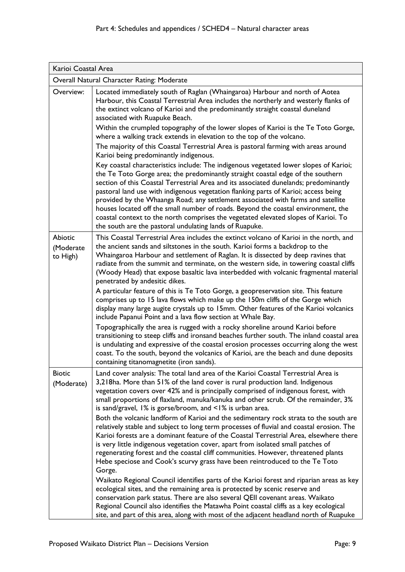| Karioi Coastal Area                        |                                                                                                                                                                                                                                                                                                                                                                                                                                                                                                                                                                                                                                                                                                                                                                                                                                                                                                                                                     |  |
|--------------------------------------------|-----------------------------------------------------------------------------------------------------------------------------------------------------------------------------------------------------------------------------------------------------------------------------------------------------------------------------------------------------------------------------------------------------------------------------------------------------------------------------------------------------------------------------------------------------------------------------------------------------------------------------------------------------------------------------------------------------------------------------------------------------------------------------------------------------------------------------------------------------------------------------------------------------------------------------------------------------|--|
| Overall Natural Character Rating: Moderate |                                                                                                                                                                                                                                                                                                                                                                                                                                                                                                                                                                                                                                                                                                                                                                                                                                                                                                                                                     |  |
| Overview:                                  | Located immediately south of Raglan (Whaingaroa) Harbour and north of Aotea<br>Harbour, this Coastal Terrestrial Area includes the northerly and westerly flanks of<br>the extinct volcano of Karioi and the predominantly straight coastal duneland<br>associated with Ruapuke Beach.                                                                                                                                                                                                                                                                                                                                                                                                                                                                                                                                                                                                                                                              |  |
|                                            | Within the crumpled topography of the lower slopes of Karioi is the Te Toto Gorge,<br>where a walking track extends in elevation to the top of the volcano.<br>The majority of this Coastal Terrestrial Area is pastoral farming with areas around                                                                                                                                                                                                                                                                                                                                                                                                                                                                                                                                                                                                                                                                                                  |  |
|                                            | Karioi being predominantly indigenous.<br>Key coastal characteristics include: The indigenous vegetated lower slopes of Karioi;<br>the Te Toto Gorge area; the predominantly straight coastal edge of the southern<br>section of this Coastal Terrestrial Area and its associated dunelands; predominantly<br>pastoral land use with indigenous vegetation flanking parts of Karioi; access being<br>provided by the Whaanga Road; any settlement associated with farms and satellite<br>houses located off the small number of roads. Beyond the coastal environment, the<br>coastal context to the north comprises the vegetated elevated slopes of Karioi. To<br>the south are the pastoral undulating lands of Ruapuke.                                                                                                                                                                                                                         |  |
| <b>Abiotic</b><br>(Moderate<br>to High)    | This Coastal Terrestrial Area includes the extinct volcano of Karioi in the north, and<br>the ancient sands and siltstones in the south. Karioi forms a backdrop to the<br>Whaingaroa Harbour and settlement of Raglan. It is dissected by deep ravines that<br>radiate from the summit and terminate, on the western side, in towering coastal cliffs<br>(Woody Head) that expose basaltic lava interbedded with volcanic fragmental material<br>penetrated by andesitic dikes.<br>A particular feature of this is Te Toto Gorge, a geopreservation site. This feature<br>comprises up to 15 lava flows which make up the 150m cliffs of the Gorge which<br>display many large augite crystals up to 15mm. Other features of the Karioi volcanics<br>include Papanui Point and a lava flow section at Whale Bay.                                                                                                                                   |  |
|                                            | Topographically the area is rugged with a rocky shoreline around Karioi before<br>transitioning to steep cliffs and ironsand beaches further south. The inland coastal area<br>is undulating and expressive of the coastal erosion processes occurring along the west<br>coast. To the south, beyond the volcanics of Karioi, are the beach and dune deposits<br>containing titanomagnetite (iron sands).                                                                                                                                                                                                                                                                                                                                                                                                                                                                                                                                           |  |
| <b>Biotic</b><br>(Moderate)                | Land cover analysis: The total land area of the Karioi Coastal Terrestrial Area is<br>3,218ha. More than 51% of the land cover is rural production land. Indigenous<br>vegetation covers over 42% and is principally comprised of indigenous forest, with<br>small proportions of flaxland, manuka/kanuka and other scrub. Of the remainder, 3%<br>is sand/gravel, 1% is gorse/broom, and <1% is urban area.<br>Both the volcanic landform of Karioi and the sedimentary rock strata to the south are<br>relatively stable and subject to long term processes of fluvial and coastal erosion. The<br>Karioi forests are a dominant feature of the Coastal Terrestrial Area, elsewhere there<br>is very little indigenous vegetation cover, apart from isolated small patches of<br>regenerating forest and the coastal cliff communities. However, threatened plants<br>Hebe speciose and Cook's scurvy grass have been reintroduced to the Te Toto |  |
|                                            | Gorge.<br>Waikato Regional Council identifies parts of the Karioi forest and riparian areas as key<br>ecological sites, and the remaining area is protected by scenic reserve and<br>conservation park status. There are also several QEII covenant areas. Waikato<br>Regional Council also identifies the Matawha Point coastal cliffs as a key ecological<br>site, and part of this area, along with most of the adjacent headland north of Ruapuke                                                                                                                                                                                                                                                                                                                                                                                                                                                                                               |  |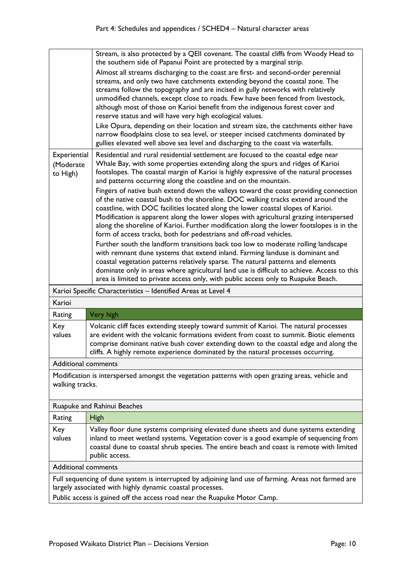|                                                                          | Stream, is also protected by a QEII covenant. The coastal cliffs from Woody Head to                                                                                                                                                                                     |
|--------------------------------------------------------------------------|-------------------------------------------------------------------------------------------------------------------------------------------------------------------------------------------------------------------------------------------------------------------------|
|                                                                          | the southern side of Papanui Point are protected by a marginal strip.<br>Almost all streams discharging to the coast are first- and second-order perennial                                                                                                              |
|                                                                          | streams, and only two have catchments extending beyond the coastal zone. The                                                                                                                                                                                            |
|                                                                          | streams follow the topography and are incised in gully networks with relatively                                                                                                                                                                                         |
|                                                                          | unmodified channels, except close to roads. Few have been fenced from livestock,                                                                                                                                                                                        |
|                                                                          | although most of those on Karioi benefit from the indigenous forest cover and                                                                                                                                                                                           |
|                                                                          | reserve status and will have very high ecological values.                                                                                                                                                                                                               |
|                                                                          | Like Opura, depending on their location and stream size, the catchments either have<br>narrow floodplains close to sea level, or steeper incised catchments dominated by                                                                                                |
|                                                                          | gullies elevated well above sea level and discharging to the coast via waterfalls.                                                                                                                                                                                      |
| Experiential                                                             | Residential and rural residential settlement are focused to the coastal edge near<br>Whale Bay, with some properties extending along the spurs and ridges of Karioi                                                                                                     |
| (Moderate<br>to High)                                                    | footslopes. The coastal margin of Karioi is highly expressive of the natural processes                                                                                                                                                                                  |
|                                                                          | and patterns occurring along the coastline and on the mountain.                                                                                                                                                                                                         |
|                                                                          | Fingers of native bush extend down the valleys toward the coast providing connection                                                                                                                                                                                    |
|                                                                          | of the native coastal bush to the shoreline. DOC walking tracks extend around the                                                                                                                                                                                       |
|                                                                          | coastline, with DOC facilities located along the lower coastal slopes of Karioi.                                                                                                                                                                                        |
|                                                                          | Modification is apparent along the lower slopes with agricultural grazing interspersed<br>along the shoreline of Karioi. Further modification along the lower footslopes is in the                                                                                      |
|                                                                          | form of access tracks, both for pedestrians and off-road vehicles.                                                                                                                                                                                                      |
|                                                                          | Further south the landform transitions back too low to moderate rolling landscape                                                                                                                                                                                       |
|                                                                          | with remnant dune systems that extend inland. Farming landuse is dominant and                                                                                                                                                                                           |
|                                                                          | coastal vegetation patterns relatively sparse. The natural patterns and elements                                                                                                                                                                                        |
|                                                                          | dominate only in areas where agricultural land use is difficult to achieve. Access to this<br>area is limited to private access only, with public access only to Ruapuke Beach.                                                                                         |
|                                                                          |                                                                                                                                                                                                                                                                         |
| Karioi                                                                   | Karioi Specific Characteristics - Identified Areas at Level 4                                                                                                                                                                                                           |
|                                                                          |                                                                                                                                                                                                                                                                         |
| Rating                                                                   | Very high                                                                                                                                                                                                                                                               |
| Key<br>values                                                            | Volcanic cliff faces extending steeply toward summit of Karioi. The natural processes<br>are evident with the volcanic formations evident from coast to summit. Biotic elements<br>comprise dominant native bush cover extending down to the coastal edge and along the |
|                                                                          | cliffs. A highly remote experience dominated by the natural processes occurring.                                                                                                                                                                                        |
| <b>Additional comments</b>                                               |                                                                                                                                                                                                                                                                         |
|                                                                          | Modification is interspersed amongst the vegetation patterns with open grazing areas, vehicle and                                                                                                                                                                       |
| walking tracks.                                                          |                                                                                                                                                                                                                                                                         |
|                                                                          | Ruapuke and Rahinui Beaches                                                                                                                                                                                                                                             |
| Rating                                                                   | High                                                                                                                                                                                                                                                                    |
| Key                                                                      | Valley floor dune systems comprising elevated dune sheets and dune systems extending                                                                                                                                                                                    |
| values                                                                   | inland to meet wetland systems. Vegetation cover is a good example of sequencing from<br>coastal dune to coastal shrub species. The entire beach and coast is remote with limited<br>public access.                                                                     |
| <b>Additional comments</b>                                               |                                                                                                                                                                                                                                                                         |
|                                                                          | Full sequencing of dune system is interrupted by adjoining land use of farming. Areas not farmed are<br>largely associated with highly dynamic coastal processes.                                                                                                       |
| Public access is gained off the access road near the Ruapuke Motor Camp. |                                                                                                                                                                                                                                                                         |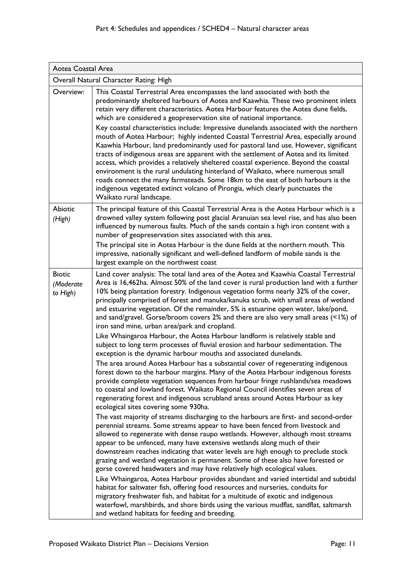| Aotea Coastal Area                     |                                                                                                                                                                                                                                                                                                                                                                                                                                                                                                                                                                                                                                                                                                                                                                                                                                                                                                                                                                                                                                                                                                                                                                                                                                                                                                                                                                                                                                                                                                                                                                                                                                                                                                                                                                                                                                                                                                                                                                                                                                                                                                                                                                                                                                                                        |  |
|----------------------------------------|------------------------------------------------------------------------------------------------------------------------------------------------------------------------------------------------------------------------------------------------------------------------------------------------------------------------------------------------------------------------------------------------------------------------------------------------------------------------------------------------------------------------------------------------------------------------------------------------------------------------------------------------------------------------------------------------------------------------------------------------------------------------------------------------------------------------------------------------------------------------------------------------------------------------------------------------------------------------------------------------------------------------------------------------------------------------------------------------------------------------------------------------------------------------------------------------------------------------------------------------------------------------------------------------------------------------------------------------------------------------------------------------------------------------------------------------------------------------------------------------------------------------------------------------------------------------------------------------------------------------------------------------------------------------------------------------------------------------------------------------------------------------------------------------------------------------------------------------------------------------------------------------------------------------------------------------------------------------------------------------------------------------------------------------------------------------------------------------------------------------------------------------------------------------------------------------------------------------------------------------------------------------|--|
|                                        | Overall Natural Character Rating: High                                                                                                                                                                                                                                                                                                                                                                                                                                                                                                                                                                                                                                                                                                                                                                                                                                                                                                                                                                                                                                                                                                                                                                                                                                                                                                                                                                                                                                                                                                                                                                                                                                                                                                                                                                                                                                                                                                                                                                                                                                                                                                                                                                                                                                 |  |
| Overview:                              | This Coastal Terrestrial Area encompasses the land associated with both the<br>predominantly sheltered harbours of Aotea and Kaawhia. These two prominent inlets<br>retain very different characteristics. Aotea Harbour features the Aotea dune fields,<br>which are considered a geopreservation site of national importance.                                                                                                                                                                                                                                                                                                                                                                                                                                                                                                                                                                                                                                                                                                                                                                                                                                                                                                                                                                                                                                                                                                                                                                                                                                                                                                                                                                                                                                                                                                                                                                                                                                                                                                                                                                                                                                                                                                                                        |  |
|                                        | Key coastal characteristics include: Impressive dunelands associated with the northern<br>mouth of Aotea Harbour; highly indented Coastal Terrestrial Area, especially around<br>Kaawhia Harbour, land predominantly used for pastoral land use. However, significant<br>tracts of indigenous areas are apparent with the settlement of Aotea and its limited<br>access, which provides a relatively sheltered coastal experience. Beyond the coastal<br>environment is the rural undulating hinterland of Waikato, where numerous small<br>roads connect the many farmsteads. Some 18km to the east of both harbours is the<br>indigenous vegetated extinct volcano of Pirongia, which clearly punctuates the<br>Waikato rural landscape.                                                                                                                                                                                                                                                                                                                                                                                                                                                                                                                                                                                                                                                                                                                                                                                                                                                                                                                                                                                                                                                                                                                                                                                                                                                                                                                                                                                                                                                                                                                             |  |
| Abiotic<br>(High)                      | The principal feature of this Coastal Terrestrial Area is the Aotea Harbour which is a<br>drowned valley system following post glacial Aranuian sea level rise, and has also been<br>influenced by numerous faults. Much of the sands contain a high iron content with a<br>number of geopreservation sites associated with this area.                                                                                                                                                                                                                                                                                                                                                                                                                                                                                                                                                                                                                                                                                                                                                                                                                                                                                                                                                                                                                                                                                                                                                                                                                                                                                                                                                                                                                                                                                                                                                                                                                                                                                                                                                                                                                                                                                                                                 |  |
|                                        | The principal site in Aotea Harbour is the dune fields at the northern mouth. This<br>impressive, nationally significant and well-defined landform of mobile sands is the<br>largest example on the northwest coast                                                                                                                                                                                                                                                                                                                                                                                                                                                                                                                                                                                                                                                                                                                                                                                                                                                                                                                                                                                                                                                                                                                                                                                                                                                                                                                                                                                                                                                                                                                                                                                                                                                                                                                                                                                                                                                                                                                                                                                                                                                    |  |
| <b>Biotic</b><br>(Moderate<br>to High) | Land cover analysis: The total land area of the Aotea and Kaawhia Coastal Terrestrial<br>Area is 16,462ha. Almost 50% of the land cover is rural production land with a further<br>10% being plantation forestry. Indigenous vegetation forms nearly 32% of the cover,<br>principally comprised of forest and manuka/kanuka scrub, with small areas of wetland<br>and estuarine vegetation. Of the remainder, 5% is estuarine open water, lake/pond,<br>and sand/gravel. Gorse/broom covers 2% and there are also very small areas $($ < 1%) of<br>iron sand mine, urban area/park and cropland.<br>Like Whaingaroa Harbour, the Aotea Harbour landform is relatively stable and<br>subject to long term processes of fluvial erosion and harbour sedimentation. The<br>exception is the dynamic harbour mouths and associated dunelands.<br>The area around Aotea Harbour has a substantial cover of regenerating indigenous<br>forest down to the harbour margins. Many of the Aotea Harbour indigenous forests<br>provide complete vegetation sequences from harbour fringe rushlands/sea meadows<br>to coastal and lowland forest. Waikato Regional Council identifies seven areas of<br>regenerating forest and indigenous scrubland areas around Aotea Harbour as key<br>ecological sites covering some 930ha.<br>The vast majority of streams discharging to the harbours are first- and second-order<br>perennial streams. Some streams appear to have been fenced from livestock and<br>allowed to regenerate with dense raupo wetlands. However, although most streams<br>appear to be unfenced, many have extensive wetlands along much of their<br>downstream reaches indicating that water levels are high enough to preclude stock<br>grazing and wetland vegetation is permanent. Some of these also have forested or<br>gorse covered headwaters and may have relatively high ecological values.<br>Like Whaingaroa, Aotea Harbour provides abundant and varied intertidal and subtidal<br>habitat for saltwater fish, offering food resources and nurseries, conduits for<br>migratory freshwater fish, and habitat for a multitude of exotic and indigenous<br>waterfowl, marshbirds, and shore birds using the various mudflat, sandflat, saltmarsh |  |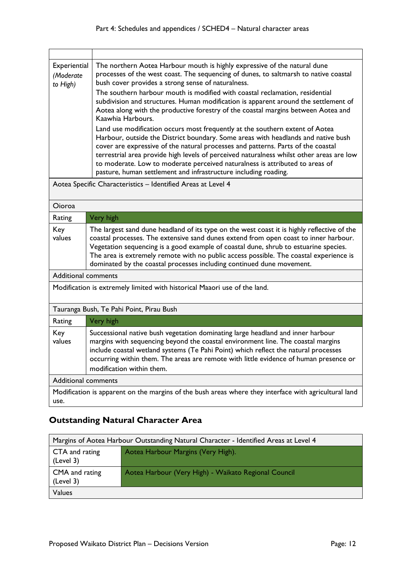| Experiential<br>(Moderate<br>to High) | The northern Aotea Harbour mouth is highly expressive of the natural dune<br>processes of the west coast. The sequencing of dunes, to saltmarsh to native coastal<br>bush cover provides a strong sense of naturalness.<br>The southern harbour mouth is modified with coastal reclamation, residential<br>subdivision and structures. Human modification is apparent around the settlement of<br>Aotea along with the productive forestry of the coastal margins between Aotea and<br>Kaawhia Harbours.<br>Land use modification occurs most frequently at the southern extent of Aotea<br>Harbour, outside the District boundary. Some areas with headlands and native bush<br>cover are expressive of the natural processes and patterns. Parts of the coastal<br>terrestrial area provide high levels of perceived naturalness whilst other areas are low<br>to moderate. Low to moderate perceived naturalness is attributed to areas of<br>pasture, human settlement and infrastructure including roading. |
|---------------------------------------|------------------------------------------------------------------------------------------------------------------------------------------------------------------------------------------------------------------------------------------------------------------------------------------------------------------------------------------------------------------------------------------------------------------------------------------------------------------------------------------------------------------------------------------------------------------------------------------------------------------------------------------------------------------------------------------------------------------------------------------------------------------------------------------------------------------------------------------------------------------------------------------------------------------------------------------------------------------------------------------------------------------|
|                                       |                                                                                                                                                                                                                                                                                                                                                                                                                                                                                                                                                                                                                                                                                                                                                                                                                                                                                                                                                                                                                  |

Aotea Specific Characteristics – Identified Areas at Level 4

| Oioroa                                                                                                        |                                                                                                                                                                                                                                                                                                                                                                                                                                                |  |
|---------------------------------------------------------------------------------------------------------------|------------------------------------------------------------------------------------------------------------------------------------------------------------------------------------------------------------------------------------------------------------------------------------------------------------------------------------------------------------------------------------------------------------------------------------------------|--|
| Rating                                                                                                        | Very high                                                                                                                                                                                                                                                                                                                                                                                                                                      |  |
| Key<br>values                                                                                                 | The largest sand dune headland of its type on the west coast it is highly reflective of the<br>coastal processes. The extensive sand dunes extend from open coast to inner harbour.<br>Vegetation sequencing is a good example of coastal dune, shrub to estuarine species.<br>The area is extremely remote with no public access possible. The coastal experience is<br>dominated by the coastal processes including continued dune movement. |  |
| <b>Additional comments</b>                                                                                    |                                                                                                                                                                                                                                                                                                                                                                                                                                                |  |
| Modification is extremely limited with historical Maaori use of the land.                                     |                                                                                                                                                                                                                                                                                                                                                                                                                                                |  |
| Tauranga Bush, Te Pahi Point, Pirau Bush                                                                      |                                                                                                                                                                                                                                                                                                                                                                                                                                                |  |
| Rating                                                                                                        | Very high                                                                                                                                                                                                                                                                                                                                                                                                                                      |  |
| Key<br>values                                                                                                 | Successional native bush vegetation dominating large headland and inner harbour<br>margins with sequencing beyond the coastal environment line. The coastal margins<br>include coastal wetland systems (Te Pahi Point) which reflect the natural processes<br>occurring within them. The areas are remote with little evidence of human presence or<br>modification within them.                                                               |  |
| <b>Additional comments</b>                                                                                    |                                                                                                                                                                                                                                                                                                                                                                                                                                                |  |
| Modification is apparent on the margins of the bush areas where they interface with agricultural land<br>use. |                                                                                                                                                                                                                                                                                                                                                                                                                                                |  |

## **Outstanding Natural Character Area**

| Margins of Aotea Harbour Outstanding Natural Character - Identified Areas at Level 4 |                                                      |  |  |  |
|--------------------------------------------------------------------------------------|------------------------------------------------------|--|--|--|
| CTA and rating<br>(Level 3)                                                          | Aotea Harbour Margins (Very High).                   |  |  |  |
| CMA and rating<br>(Level 3)                                                          | Aotea Harbour (Very High) - Waikato Regional Council |  |  |  |
| Values                                                                               |                                                      |  |  |  |